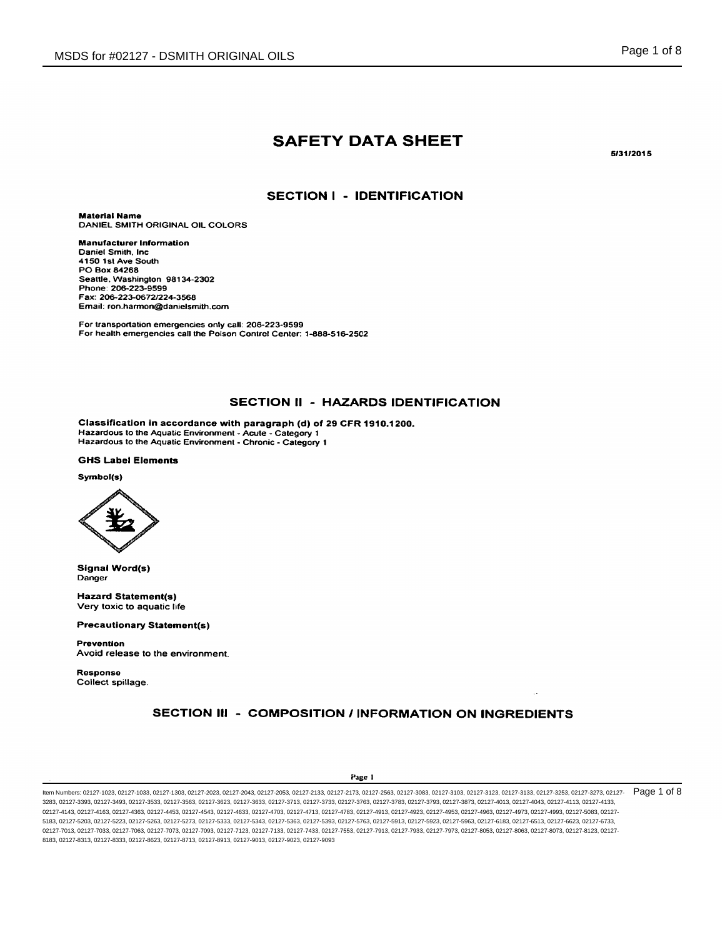# **SAFETY DATA SHEET**

5/31/2015

## **SECTION I - IDENTIFICATION**

**Material Name** DANIEL SMITH ORIGINAL OIL COLORS

**Manufacturer Information** Daniel Smith, Inc. 4150 1st Ave South PO Box 84268 Seattle, Washington 98134-2302 Phone: 206-223-9599 Fax: 206-223-0672/224-3568 Email: ron.harmon@danielsmith.com

For transportation emergencies only call: 206-223-9599 For health emergencies call the Poison Control Center: 1-888-516-2502

## SECTION II - HAZARDS IDENTIFICATION

Classification in accordance with paragraph (d) of 29 CFR 1910.1200. Hazardous to the Aquatic Environment - Acute - Category 1<br>Hazardous to the Aquatic Environment - Chronic - Category 1

#### **GHS Label Elements**

#### Symbol(s)



**Signal Word(s)** Danger

**Hazard Statement(s)** Very toxic to aquatic life

**Precautionary Statement(s)** 

**Prevention** Avoid release to the environment.

**Response** Collect spillage.

# SECTION III - COMPOSITION / INFORMATION ON INGREDIENTS

#### Page 1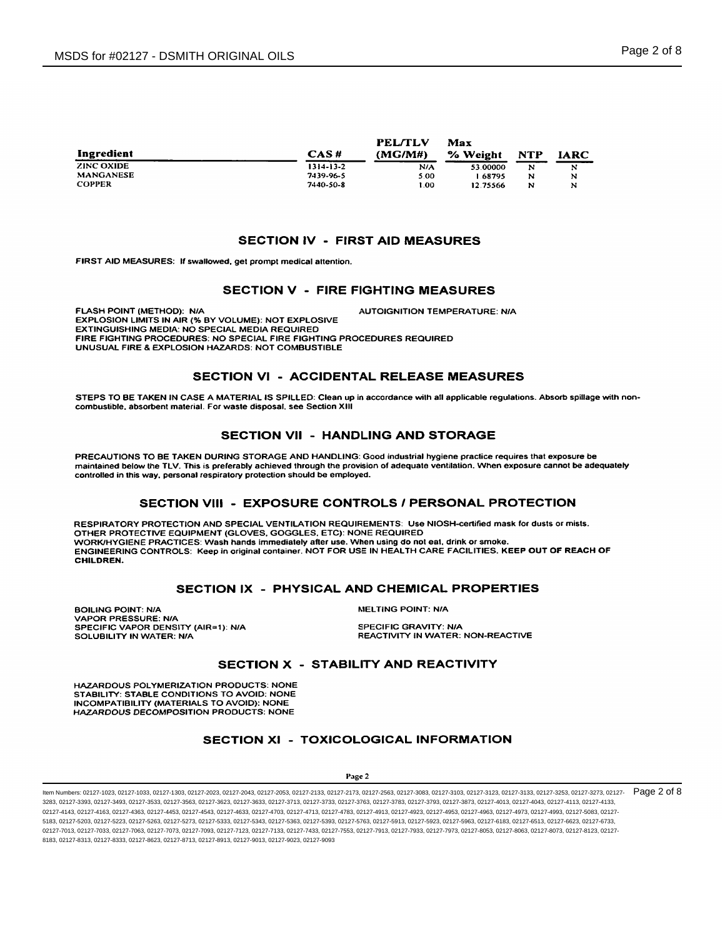| Ingredient        | CAS H     | PELTLY<br>(MG/M#) | Max<br>% Weight | <b>NTP</b> | <b>IARC</b> |
|-------------------|-----------|-------------------|-----------------|------------|-------------|
| <b>ZINC OXIDE</b> | 1314-13-2 | N/A               | 53.00000        | N          | N           |
| <b>MANGANESE</b>  | 7439-96-5 | 5.00              | 68795           | N          | N           |
| <b>COPPER</b>     | 7440-50-8 | 1.00              | 12.75566        | N          | N           |

## **SECTION IV - FIRST AID MEASURES**

FIRST AID MEASURES: If swallowed, get prompt medical attention.

## **SECTION V - FIRE FIGHTING MEASURES**

**FLASH POINT (METHOD): N/A AUTOIGNITION TEMPERATURE: N/A** EXPLOSION LIMITS IN AIR (% BY VOLUME): NOT EXPLOSIVE EXTINGUISHING MEDIA: NO SPECIAL MEDIA REQUIRED FIRE FIGHTING PROCEDURES: NO SPECIAL FIRE FIGHTING PROCEDURES REQUIRED UNUSUAL FIRE & EXPLOSION HAZARDS: NOT COMBUSTIBLE

## **SECTION VI - ACCIDENTAL RELEASE MEASURES**

STEPS TO BE TAKEN IN CASE A MATERIAL IS SPILLED: Clean up in accordance with all applicable regulations. Absorb spillage with noncombustible, absorbent material. For waste disposal, see Section XIII

## **SECTION VII - HANDLING AND STORAGE**

PRECAUTIONS TO BE TAKEN DURING STORAGE AND HANDLING: Good industrial hygiene practice requires that exposure be maintained below the TLV. This is preferably achieved through the provision of adequate ventilation. When exposure cannot be adequately controlled in this way, personal respiratory protection should be employed.

## SECTION VIII - EXPOSURE CONTROLS / PERSONAL PROTECTION

RESPIRATORY PROTECTION AND SPECIAL VENTILATION REQUIREMENTS: Use NIOSH-certified mask for dusts or mists. OTHER PROTECTIVE EQUIPMENT (GLOVES, GOGGLES, ETC): NONE REQUIRED WORK/HYGIENE PRACTICES: Wash hands immediately after use. When using do not eat, drink or smoke.<br>ENGINEERING CONTROLS: Keep in original container. NOT FOR USE IN HEALTH CARE FACILITIES. KEEP OUT OF REACH OF CHILDREN.

## SECTION IX - PHYSICAL AND CHEMICAL PROPERTIES

**BOILING POINT: N/A VAPOR PRESSURE: N/A** SPECIFIC VAPOR DENSITY (AIR=1): N/A SOLUBILITY IN WATER: N/A

**MELTING POINT: N/A** 

**SPECIFIC GRAVITY: N/A** REACTIVITY IN WATER: NON-REACTIVE

# **SECTION X - STABILITY AND REACTIVITY**

HAZARDOUS POLYMERIZATION PRODUCTS: NONE STABILITY: STABLE CONDITIONS TO AVOID: NONE **INCOMPATIBILITY (MATERIALS TO AVOID): NONE** HAZARDOUS DECOMPOSITION PRODUCTS: NONE

## **SECTION XI - TOXICOLOGICAL INFORMATION**

#### Page 2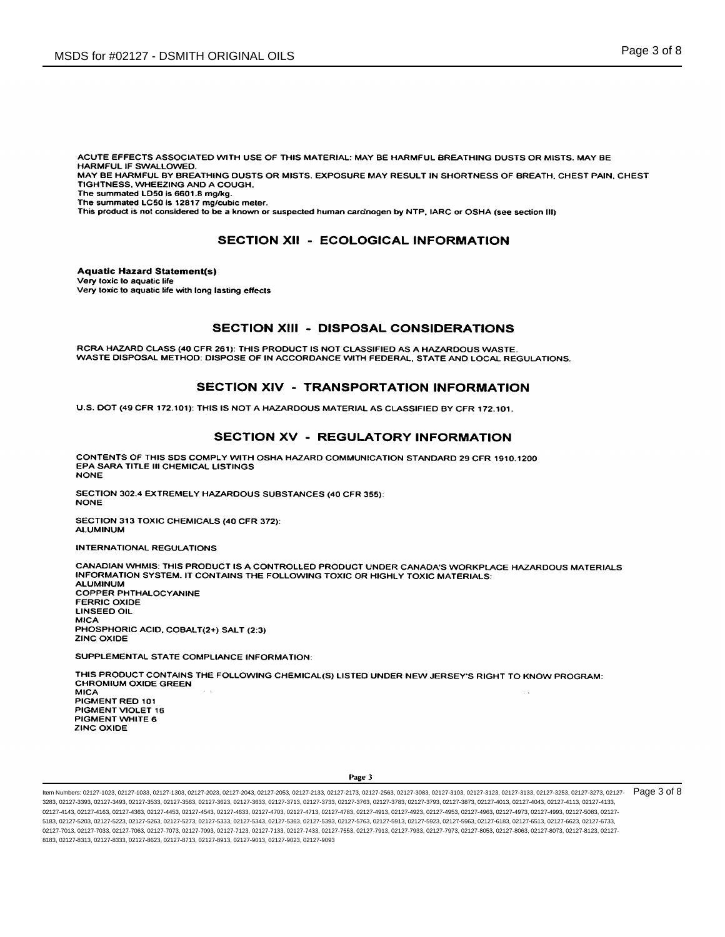ACUTE EFFECTS ASSOCIATED WITH USE OF THIS MATERIAL: MAY BE HARMFUL BREATHING DUSTS OR MISTS. MAY BE HARMFUL IF SWALLOWED.

MAY BE HARMFUL BY BREATHING DUSTS OR MISTS. EXPOSURE MAY RESULT IN SHORTNESS OF BREATH, CHEST PAIN, CHEST TIGHTNESS, WHEEZING AND A COUGH.

The summated LD50 is 6601.8 mg/kg. The summated LC50 is 12817 mg/cubic meter.

This product is not considered to be a known or suspected human carcinogen by NTP, IARC or OSHA (see section III)

# **SECTION XII - ECOLOGICAL INFORMATION**

**Aquatic Hazard Statement(s)** Very toxic to aquatic life Very toxic to aquatic life with long lasting effects

## **SECTION XIII - DISPOSAL CONSIDERATIONS**

RCRA HAZARD CLASS (40 CFR 261): THIS PRODUCT IS NOT CLASSIFIED AS A HAZARDOUS WASTE. WASTE DISPOSAL METHOD: DISPOSE OF IN ACCORDANCE WITH FEDERAL, STATE AND LOCAL REGULATIONS.

# SECTION XIV - TRANSPORTATION INFORMATION

U.S. DOT (49 CFR 172.101): THIS IS NOT A HAZARDOUS MATERIAL AS CLASSIFIED BY CFR 172.101.

## SECTION XV - REGULATORY INFORMATION

CONTENTS OF THIS SDS COMPLY WITH OSHA HAZARD COMMUNICATION STANDARD 29 CFR 1910.1200 EPA SARA TITLE III CHEMICAL LISTINGS **NONE** 

SECTION 302.4 EXTREMELY HAZARDOUS SUBSTANCES (40 CFR 355): **NONE** 

SECTION 313 TOXIC CHEMICALS (40 CFR 372): **ALUMINUM** 

**INTERNATIONAL REGULATIONS** 

CANADIAN WHMIS: THIS PRODUCT IS A CONTROLLED PRODUCT UNDER CANADA'S WORKPLACE HAZARDOUS MATERIALS INFORMATION SYSTEM. IT CONTAINS THE FOLLOWING TOXIC OR HIGHLY TOXIC MATERIALS: **ALUMINUM COPPER PHTHALOCYANINE FERRIC OXIDE LINSEED OIL MICA** PHOSPHORIC ACID, COBALT(2+) SALT (2:3) **ZINC OXIDE** SUPPLEMENTAL STATE COMPLIANCE INFORMATION:

THIS PRODUCT CONTAINS THE FOLLOWING CHEMICAL(S) LISTED UNDER NEW JERSEY'S RIGHT TO KNOW PROGRAM: **CHROMIUM OXIDE GREEN MICA** PIGMENT RED 101 PIGMENT VIOLET 16 PIGMENT WHITE 6 ZINC OXIDE

Item Numbers: 02127-1023, 02127-1033, 02127-1033, 02127-2023, 02127-2043, 02127-2053, 02127-2133, 02127-2133, 02127-2173, 02127-2363, 02127-3083, 02127-3103, 02127-3103, 02127-3123, 02127-3133, 02127-3133, 02127-3133, 0212 3283, 02127-3393, 02127-3493, 02127-3533, 02127-3663, 02127-3623, 02127-3633, 02127-3713, 02127-3733, 02127-3763, 02127-3783, 02127-3793, 02127-383, 02127-4013, 02127-4043, 02127-4043, 02127-4043, 02127-4113, 02127-4043, 02 02127-4143, 02127-4163, 02127-4363, 02127-4453, 02127-4543, 02127-4633, 02127-4703, 02127-4713, 02127-4783, 02127-4943, 02127-4953, 02127-4953, 02127-4963, 02127-4973, 02127-4983, 02127-4983, 02127-4983, 02127-4983, 02127-4 5183, 02127-5203, 02127-5223, 02127-5263, 02127-5273, 02127-5333, 02127-5343, 02127-5363, 02127-5393, 02127-5631, 02127-5913, 02127-5923, 02127-5983, 02127-6183, 02127-6183, 02127-6183, 02127-6543, 02127-6523, 02127-6523, 0 02127-7013, 02127-7033, 02127-7063, 02127-7073, 02127-7093, 02127-7123, 02127-7133, 02127-7433, 02127-7553, 02127-7913, 02127-7933, 02127-7973, 02127-9053, 02127-8063, 02127-8053, 02127-8053, 02127-8073, 02127-8123, 02127-8 8183, 02127-8313, 02127-8333, 02127-8623, 02127-8713, 02127-8913, 02127-9013, 02127-9023, 02127-9093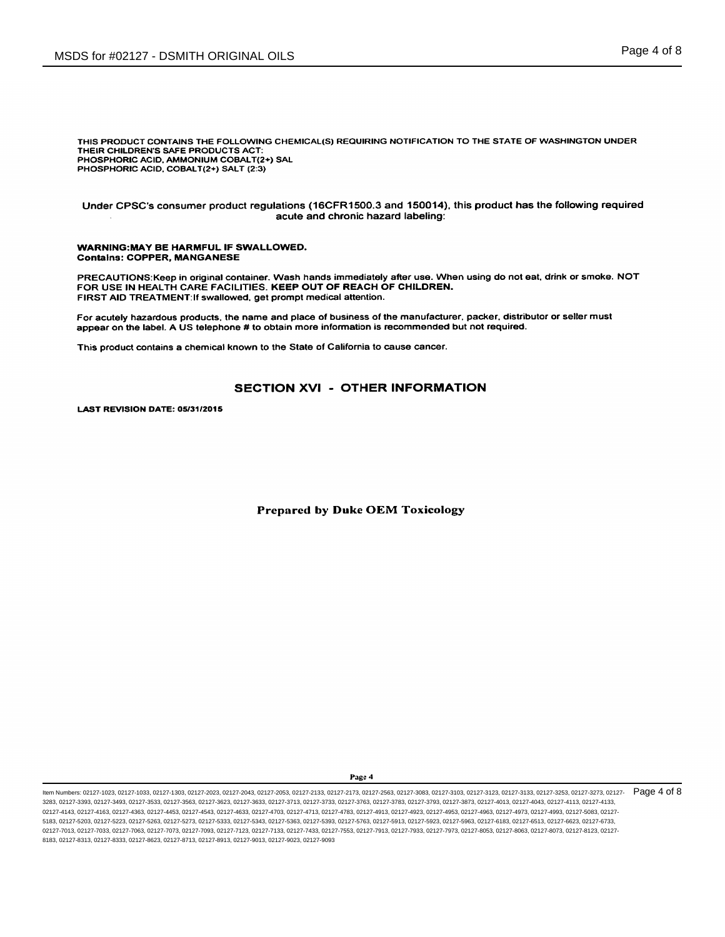THIS PRODUCT CONTAINS THE FOLLOWING CHEMICAL(S) REQUIRING NOTIFICATION TO THE STATE OF WASHINGTON UNDER THEIR CHILDREN'S SAFE PRODUCTS ACT: PHOSPHORIC ACID, AMMONIUM COBALT(2+) SAL PHOSPHORIC ACID, COBALT(2+) SALT (2:3)

Under CPSC's consumer product regulations (16CFR1500.3 and 150014), this product has the following required acute and chronic hazard labeling:

#### **WARNING:MAY BE HARMFUL IF SWALLOWED. Contains: COPPER, MANGANESE**

PRECAUTIONS: Keep in original container. Wash hands immediately after use. When using do not eat, drink or smoke. NOT FOR USE IN HEALTH CARE FACILITIES. KEEP OUT OF REACH OF CHILDREN. FIRST AID TREATMENT: If swallowed, get prompt medical attention.

For acutely hazardous products, the name and place of business of the manufacturer, packer, distributor or seller must appear on the label. A US telephone # to obtain more information is recommended but not required.

This product contains a chemical known to the State of California to cause cancer.

## **SECTION XVI - OTHER INFORMATION**

LAST REVISION DATE: 05/31/2015

## **Prepared by Duke OEM Toxicology**

Page 4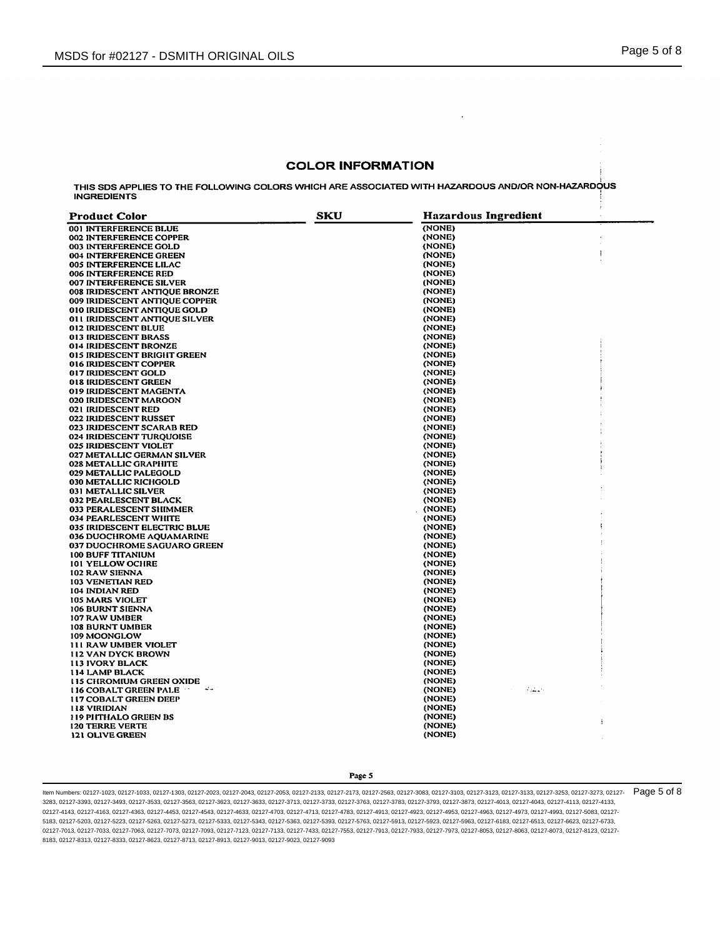#### **COLOR INFORMATION**

 $\ddot{\phantom{0}}$ 

THIS SDS APPLIES TO THE FOLLOWING COLORS WHICH ARE ASSOCIATED WITH HAZARDOUS AND/OR NON-HAZARDOUS **INGREDIENTS** 

| <b>Product Color</b>                          | SKU | <b>Hazardous Ingredient</b> |   |
|-----------------------------------------------|-----|-----------------------------|---|
| 001 INTERFERENCE BLUE                         |     | (NONE)                      |   |
| 002 INTERFERENCE COPPER                       |     | (NONE)                      |   |
| 003 INTERFERENCE GOLD                         |     | (NONE)                      |   |
| 004 INTERFERENCE GREEN                        |     | (NONE)                      | ł |
| <b>005 INTERFERENCE LILAC</b>                 |     | (NONE)                      |   |
| <b>006 INTERFERENCE RED</b>                   |     | (NONE)                      |   |
| <b>007 INTERFERENCE SILVER</b>                |     | (NONE)                      |   |
| 008 IRIDESCENT ANTIQUE BRONZE                 |     | (NONE)                      |   |
| 009 IRIDESCENT ANTIQUE COPPER                 |     | (NONE)                      |   |
| 010 IRIDESCENT ANTIQUE GOLD                   |     | (NONE)                      |   |
| 011 IRIDESCENT ANTIQUE SILVER                 |     | (NONE)                      |   |
| 012 IRIDESCENT BLUE                           |     | (NONE)                      |   |
| 013 IRIDESCENT BRASS                          |     | (NONE)                      |   |
| 014 IRIDESCENT BRONZE                         |     | (NONE)                      |   |
| 015 IRIDESCENT BRIGHT GREEN                   |     | (NONE)                      |   |
| 016 IRIDESCENT COPPER                         |     | (NONE)                      |   |
| 017 IRIDESCENT GOLD                           |     | (NONE)                      |   |
| 018 IRIDESCENT GREEN                          |     | (NONE)                      |   |
| 019 IRIDESCENT MAGENTA                        |     | (NONE)                      |   |
| 020 IRIDESCENT MAROON                         |     | (NONE)                      |   |
| 021 IRIDESCENT RED                            |     | (NONE)                      |   |
| <b>022 IRIDESCENT RUSSET</b>                  |     | (NONE)                      |   |
| 023 IRIDESCENT SCARAB RED                     |     | (NONE)                      |   |
| 024 IRIDESCENT TURQUOISE                      |     | (NONE)                      |   |
| 025 IRIDESCENT VIOLET                         |     | (NONE)                      |   |
| 027 METALLIC GERMAN SILVER                    |     | (NONE)                      |   |
| <b>028 METALLIC GRAPHITE</b>                  |     | (NONE)                      |   |
| 029 METALLIC PALEGOLD                         |     | (NONE)                      |   |
| 030 METALLIC RICHGOLD                         |     | (NONE)                      |   |
| 031 METALLIC SILVER                           |     | (NONE)                      |   |
| 032 PEARLESCENT BLACK                         |     | (NONE)                      |   |
| 033 PERALESCENT SHIMMER                       |     | (NONE)                      |   |
| 034 PEARLESCENT WHITE                         |     | (NONE)                      |   |
| 035 IRIDESCENT ELECTRIC BLUE                  |     | (NONE)                      |   |
| 036 DUOCHROME AQUAMARINE                      |     | (NONE)                      |   |
| 037 DUOCHROME SAGUARO GREEN                   |     | (NONE)                      |   |
| <b>100 BUFF TITANIUM</b>                      |     | (NONE)                      |   |
| <b>101 YELLOW OCHRE</b>                       |     | (NONE)                      |   |
| <b>102 RAW SIENNA</b>                         |     | (NONE)                      |   |
| 103 VENETIAN RED                              |     | (NONE)                      |   |
| 104 INDIAN RED                                |     | (NONE)                      |   |
| 105 MARS VIOLET                               |     | (NONE)                      |   |
| 106 BURNT SIENNA                              |     | (NONE)                      |   |
| 107 RAW UMBER                                 |     | (NONE)                      |   |
| <b>108 BURNT UMBER</b>                        |     | (NONE)                      |   |
| 109 MOONGLOW                                  |     | (NONE)                      |   |
| <b>111 RAW UMBER VIOLET</b>                   |     | (NONE)                      |   |
| <b>112 VAN DYCK BROWN</b>                     |     | (NONE)                      |   |
| <b>113 IVORY BLACK</b>                        |     | (NONE)                      |   |
| <b>114 LAMP BLACK</b>                         |     | (NONE)                      |   |
| <b>115 CHROMIUM GREEN OXIDE</b>               |     | (NONE)                      |   |
| $\sim$ $\sim$<br><b>116 COBALT GREEN PALE</b> |     | القطعة<br>(NONE)            |   |
| <b>117 COBALT GREEN DEEP</b>                  |     | (NONE)                      |   |
| <b>118 VIRIDIAN</b>                           |     | (NONE)                      |   |
| 119 PHTHALO GREEN BS                          |     | (NONE)                      |   |
| <b>120 TERRE VERTE</b>                        |     | (NONE)                      | Í |
| 121 OLIVE GREEN                               |     | (NONE)                      |   |
|                                               |     |                             |   |

Page 5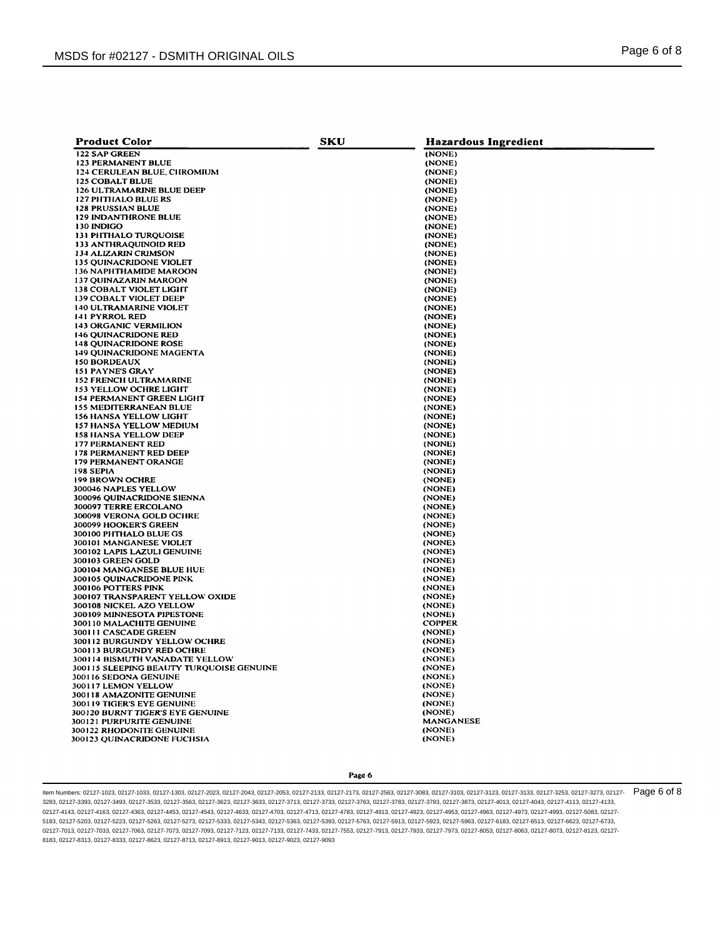| <b>Product Color</b>                              | SKU | <b>Hazardous Ingredient</b> |
|---------------------------------------------------|-----|-----------------------------|
| 122 SAP GREEN                                     |     | (NONE)                      |
| <b>123 PERMANENT BLUE</b>                         |     | (NONE)                      |
| 124 CERULEAN BLUE, CHROMIUM                       |     | (NONE)                      |
| <b>125 COBALT BLUE</b>                            |     | (NONE)                      |
| 126 ULTRAMARINE BLUE DEEP                         |     | (NONE)                      |
| <b>127 PHTHALO BLUE RS</b>                        |     | (NONE)                      |
| <b>128 PRUSSIAN BLUE</b>                          |     | (NONE)                      |
| 129 INDANTHRONE BLUE                              |     | (NONE)                      |
| 130 INDIGO                                        |     | (NONE)                      |
| 131 PHTHALO TURQUOISE                             |     | (NONE)                      |
| 133 ANTHRAQUINOID RED                             |     | (NONE)                      |
| 134 ALIZARIN CRIMSON                              |     | (NONE)                      |
| 135 OUINACRIDONE VIOLET                           |     | (NONE)                      |
| 136 NAPHTHAMIDE MAROON                            |     | (NONE)                      |
| <b>137 QUINAZARIN MAROON</b>                      |     | (NONE)                      |
| <b>138 COBALT VIOLET LIGHT</b>                    |     | (NONE)                      |
| 139 COBALT VIOLET DEEP                            |     | (NONE)                      |
| <b>140 ULTRAMARINE VIOLET</b>                     |     | (NONE)                      |
| 141 PYRROL RED                                    |     | (NONE)                      |
| <b>143 ORGANIC VERMILION</b>                      |     | (NONE)                      |
| <b>146 QUINACRIDONE RED</b>                       |     | (NONE)                      |
| <b>148 QUINACRIDONE ROSE</b>                      |     | (NONE)                      |
| <b>149 OUINACRIDONE MAGENTA</b>                   |     | (NONE)                      |
| <b>150 BORDEAUX</b>                               |     | (NONE)                      |
| 151 PAYNE'S GRAY                                  |     | (NONE)                      |
| <b>152 FRENCH ULTRAMARINE</b>                     |     | (NONE)                      |
| 153 YELLOW OCHRE LIGHT                            |     | (NONE)                      |
| <b>154 PERMANENT GREEN LIGHT</b>                  |     | (NONE)                      |
| <b>155 MEDITERRANEAN BLUE</b>                     |     | (NONE)                      |
| <b>156 HANSA YELLOW LIGHT</b>                     |     | (NONE)                      |
| 157 HANSA YELLOW MEDIUM                           |     | (NONE)                      |
| <b>158 HANSA YELLOW DEEP</b>                      |     | (NONE)                      |
| <b>177 PERMANENT RED</b>                          |     | (NONE)                      |
| <b>178 PERMANENT RED DEEP</b>                     |     | (NONE)                      |
| 179 PERMANENT ORANGE                              |     | (NONE)                      |
| 198 SEPIA                                         |     | (NONE)                      |
| <b>199 BROWN OCHRE</b>                            |     | (NONE)                      |
| 300046 NAPLES YELLOW                              |     | (NONE)                      |
| 300096 QUINACRIDONE SIENNA                        |     | (NONE)                      |
| 300097 TERRE ERCOLANO                             |     | (NONE)                      |
| 300098 VERONA GOLD OCHRE<br>300099 HOOKER'S GREEN |     | (NONE)<br>(NONE)            |
| 300100 PHTHALO BLUE GS                            |     | (NONE)                      |
| 300101 MANGANESE VIOLET                           |     | (NONE)                      |
| 300102 LAPIS LAZULI GENUINE                       |     | (NONE)                      |
| 300103 GREEN GOLD                                 |     | (NONE)                      |
| 300104 MANGANESE BLUE HUE                         |     | (NONE)                      |
| 300105 QUINACRIDONE PINK                          |     | (NONE)                      |
| 300106 POTTERS PINK                               |     | (NONE)                      |
| 300107 TRANSPARENT YELLOW OXIDE                   |     | (NONE)                      |
| 300108 NICKEL AZO YELLOW                          |     | (NONE)                      |
| 300109 MINNESOTA PIPESTONE                        |     | (NONE)                      |
| 300110 MALACHITE GENUINE                          |     | <b>COPPER</b>               |
| 300111 CASCADE GREEN                              |     | (NONE)                      |
| 300112 BURGUNDY YELLOW OCHRE                      |     | (NONE)                      |
| 300113 BURGUNDY RED OCHRE                         |     | (NONE)                      |
| 300114 BISMUTH VANADATE YELLOW                    |     | (NONE)                      |
| 300115 SLEEPING BEAUTY TURQUOISE GENUINE          |     | (NONE)                      |
| 300116 SEDONA GENUINE                             |     | (NONE)                      |
| 300117 LEMON YELLOW                               |     | (NONE)                      |
| 300118 AMAZONITE GENUINE                          |     | (NONE)                      |
| 300119 TIGER'S EYE GENUINE                        |     | (NONE)                      |
| 300120 BURNT TIGER'S EYE GENUINE                  |     | (NONE)                      |
| 300121 PURPURITE GENUINE                          |     | <b>MANGANESE</b>            |
| 300122 RHODONITE GENUINE                          |     | (NONE)                      |
| 300123 QUINACRIDONE FUCHSIA                       |     | (NONE)                      |

#### Page 6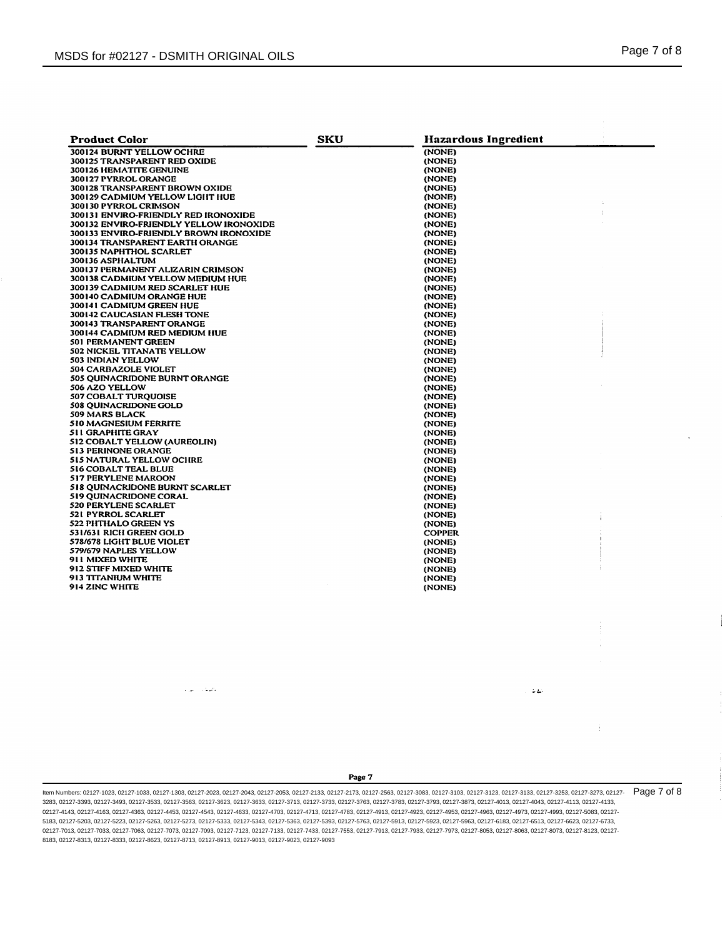| <b>Product Color</b>                    | <b>SKU</b> | <b>Hazardous Ingredient</b> |  |
|-----------------------------------------|------------|-----------------------------|--|
| 300124 BURNT YELLOW OCHRE               |            | (NONE)                      |  |
| 300125 TRANSPARENT RED OXIDE            |            | (NONE)                      |  |
| 300126 HEMATITE GENUINE                 |            | (NONE)                      |  |
| 300127 PYRROL ORANGE                    |            | (NONE)                      |  |
| 300128 TRANSPARENT BROWN OXIDE          |            | (NONE)                      |  |
| 300129 CADMIUM YELLOW LIGHT HUE         |            | (NONE)                      |  |
| 300130 PYRROL CRIMSON                   |            | (NONE)                      |  |
| 300131 ENVIRO-FRIENDLY RED IRONOXIDE    |            | (NONE)                      |  |
| 300132 ENVIRO-FRIENDLY YELLOW IRONOXIDE |            | (NONE)                      |  |
| 300133 ENVIRO-FRIENDLY BROWN IRONOXIDE  |            | (NONE)                      |  |
| 300134 TRANSPARENT EARTH ORANGE         |            | (NONE)                      |  |
| 300135 NAPHTHOL SCARLET                 |            | (NONE)                      |  |
| 300136 ASPHALTUM                        |            | (NONE)                      |  |
| 300137 PERMANENT ALIZARIN CRIMSON       |            | (NONE)                      |  |
| 300138 CADMIUM YELLOW MEDIUM HUE        |            | (NONE)                      |  |
| 300139 CADMIUM RED SCARLET HUE          |            | (NONE)                      |  |
| 300140 CADMIUM ORANGE HUE               |            | (NONE)                      |  |
| 300141 CADMIUM GREEN HUE                |            |                             |  |
| 300142 CAUCASIAN FLESH TONE             |            | (NONE)<br>(NONE)            |  |
|                                         |            |                             |  |
| 300143 TRANSPARENT ORANGE               |            | (NONE)                      |  |
| 300144 CADMIUM RED MEDIUM HUE           |            | (NONE)                      |  |
| 501 PERMANENT GREEN                     |            | (NONE)                      |  |
| 502 NICKEL TITANATE YELLOW              |            | (NONE)                      |  |
| 503 INDIAN YELLOW                       |            | (NONE)                      |  |
| 504 CARBAZOLE VIOLET                    |            | (NONE)                      |  |
| <b>505 QUINACRIDONE BURNT ORANGE</b>    |            | (NONE)                      |  |
| 506 AZO YELLOW                          |            | (NONE)                      |  |
| <b>507 COBALT TUROUOISE</b>             |            | (NONE)                      |  |
| <b>508 QUINACRIDONE GOLD</b>            |            | (NONE)                      |  |
| 509 MARS BLACK                          |            | (NONE)                      |  |
| 510 MAGNESIUM FERRITE                   |            | (NONE)                      |  |
| 511 GRAPHITE GRAY                       |            | (NONE)                      |  |
| 512 COBALT YELLOW (AUREOLIN)            |            | (NONE)                      |  |
| <b>513 PERINONE ORANGE</b>              |            | (NONE)                      |  |
| <b>515 NATURAL YELLOW OCHRE</b>         |            | (NONE)                      |  |
| <b>516 COBALT TEAL BLUE</b>             |            | (NONE)                      |  |
| 517 PERYLENE MAROON                     |            | (NONE)                      |  |
| 518 QUINACRIDONE BURNT SCARLET          |            | (NONE)                      |  |
| <b>519 OUINACRIDONE CORAL</b>           |            | (NONE)                      |  |
| <b>520 PERYLENE SCARLET</b>             |            | (NONE)                      |  |
| 521 PYRROL SCARLET                      |            | (NONE)                      |  |
| 522 PHTHALO GREEN YS                    |            | (NONE)                      |  |
| 531/631 RICH GREEN GOLD                 |            | <b>COPPER</b>               |  |
| 578/678 LIGHT BLUE VIOLET               |            | (NONE)                      |  |
| 579/679 NAPLES YELLOW                   |            | (NONE)                      |  |
| 911 MIXED WHITE                         |            | (NONE)                      |  |
| 912 STIFF MIXED WHITE                   |            | (NONE)                      |  |
| 913 TITANIUM WHITE                      |            | (NONE)                      |  |
| 914 ZINC WHITE                          |            | (NONE)                      |  |
|                                         |            |                             |  |

بطيف البياء

Page 7

 $\mathbb{Z}[\mathbb{Z}]$